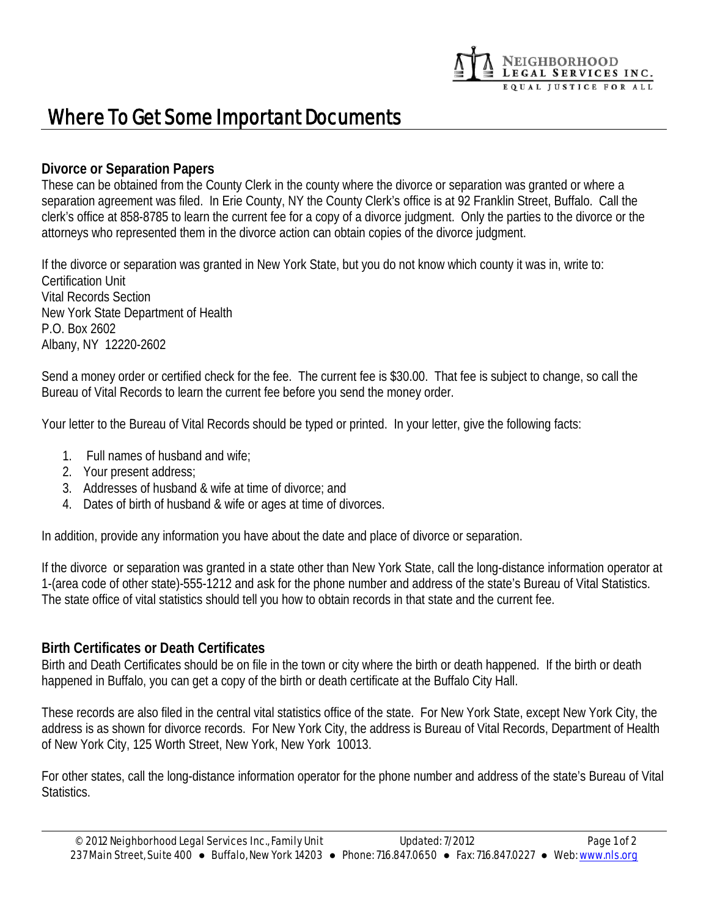# NEIGHBORHOOD<br>LEGAL SERVICES INC.<br>EQUAL JUSTICE FOR ALL

## Where To Get Some Important Documents

#### **Divorce or Separation Papers**

These can be obtained from the County Clerk in the county where the divorce or separation was granted or where a separation agreement was filed. In Erie County, NY the County Clerk's office is at 92 Franklin Street, Buffalo. Call the clerk's office at 858-8785 to learn the current fee for a copy of a divorce judgment. Only the parties to the divorce or the attorneys who represented them in the divorce action can obtain copies of the divorce judgment.

If the divorce or separation was granted in New York State, but you do not know which county it was in, write to: Certification Unit Vital Records Section New York State Department of Health P.O. Box 2602 Albany, NY 12220-2602

Send a money order or certified check for the fee. The current fee is \$30.00. That fee is subject to change, so call the Bureau of Vital Records to learn the current fee before you send the money order.

Your letter to the Bureau of Vital Records should be typed or printed. In your letter, give the following facts:

- 1. Full names of husband and wife;
- 2. Your present address;
- 3. Addresses of husband & wife at time of divorce; and
- 4. Dates of birth of husband & wife or ages at time of divorces.

In addition, provide any information you have about the date and place of divorce or separation.

If the divorce or separation was granted in a state other than New York State, call the long-distance information operator at 1-(area code of other state)-555-1212 and ask for the phone number and address of the state's Bureau of Vital Statistics. The state office of vital statistics should tell you how to obtain records in that state and the current fee.

#### **Birth Certificates or Death Certificates**

Birth and Death Certificates should be on file in the town or city where the birth or death happened. If the birth or death happened in Buffalo, you can get a copy of the birth or death certificate at the Buffalo City Hall.

These records are also filed in the central vital statistics office of the state. For New York State, except New York City, the address is as shown for divorce records. For New York City, the address is Bureau of Vital Records, Department of Health of New York City, 125 Worth Street, New York, New York 10013.

For other states, call the long-distance information operator for the phone number and address of the state's Bureau of Vital Statistics.